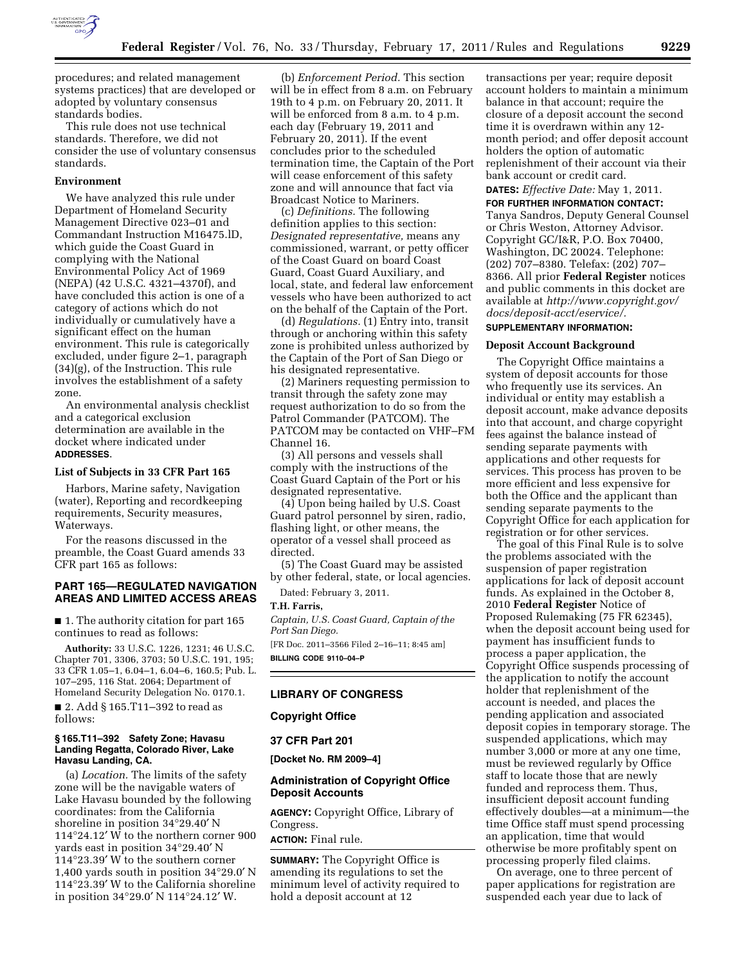

procedures; and related management systems practices) that are developed or adopted by voluntary consensus standards bodies.

This rule does not use technical standards. Therefore, we did not consider the use of voluntary consensus standards.

#### **Environment**

We have analyzed this rule under Department of Homeland Security Management Directive 023–01 and Commandant Instruction M16475.lD, which guide the Coast Guard in complying with the National Environmental Policy Act of 1969 (NEPA) (42 U.S.C. 4321–4370f), and have concluded this action is one of a category of actions which do not individually or cumulatively have a significant effect on the human environment. This rule is categorically excluded, under figure 2–1, paragraph (34)(g), of the Instruction. This rule involves the establishment of a safety zone.

An environmental analysis checklist and a categorical exclusion determination are available in the docket where indicated under **ADDRESSES**.

#### **List of Subjects in 33 CFR Part 165**

Harbors, Marine safety, Navigation (water), Reporting and recordkeeping requirements, Security measures, Waterways.

For the reasons discussed in the preamble, the Coast Guard amends 33 CFR part 165 as follows:

# **PART 165—REGULATED NAVIGATION AREAS AND LIMITED ACCESS AREAS**

■ 1. The authority citation for part 165 continues to read as follows:

**Authority:** 33 U.S.C. 1226, 1231; 46 U.S.C. Chapter 701, 3306, 3703; 50 U.S.C. 191, 195; 33 CFR 1.05–1, 6.04–1, 6.04–6, 160.5; Pub. L. 107–295, 116 Stat. 2064; Department of Homeland Security Delegation No. 0170.1. ■ 2. Add § 165.T11–392 to read as follows:

#### **§ 165.T11–392 Safety Zone; Havasu Landing Regatta, Colorado River, Lake Havasu Landing, CA.**

(a) *Location.* The limits of the safety zone will be the navigable waters of Lake Havasu bounded by the following coordinates: from the California shoreline in position 34°29.40′ N 114°24.12′ W to the northern corner 900 yards east in position 34°29.40′ N 114°23.39′ W to the southern corner 1,400 yards south in position 34°29.0′ N 114°23.39′ W to the California shoreline in position 34°29.0′ N 114°24.12′ W.

(b) *Enforcement Period.* This section will be in effect from 8 a.m. on February 19th to 4 p.m. on February 20, 2011. It will be enforced from 8 a.m. to 4 p.m. each day (February 19, 2011 and February 20, 2011). If the event concludes prior to the scheduled termination time, the Captain of the Port will cease enforcement of this safety zone and will announce that fact via Broadcast Notice to Mariners.

(c) *Definitions.* The following definition applies to this section: *Designated representative,* means any commissioned, warrant, or petty officer of the Coast Guard on board Coast Guard, Coast Guard Auxiliary, and local, state, and federal law enforcement vessels who have been authorized to act on the behalf of the Captain of the Port.

(d) *Regulations.* (1) Entry into, transit through or anchoring within this safety zone is prohibited unless authorized by the Captain of the Port of San Diego or his designated representative.

(2) Mariners requesting permission to transit through the safety zone may request authorization to do so from the Patrol Commander (PATCOM). The PATCOM may be contacted on VHF–FM Channel 16.

(3) All persons and vessels shall comply with the instructions of the Coast Guard Captain of the Port or his designated representative.

(4) Upon being hailed by U.S. Coast Guard patrol personnel by siren, radio, flashing light, or other means, the operator of a vessel shall proceed as directed.

(5) The Coast Guard may be assisted by other federal, state, or local agencies.

Dated: February 3, 2011.

**T.H. Farris,** 

*Captain, U.S. Coast Guard, Captain of the Port San Diego.* 

[FR Doc. 2011–3566 Filed 2–16–11; 8:45 am] **BILLING CODE 9110–04–P** 

#### **LIBRARY OF CONGRESS**

#### **Copyright Office**

#### **37 CFR Part 201**

**[Docket No. RM 2009–4]** 

#### **Administration of Copyright Office Deposit Accounts**

**AGENCY:** Copyright Office, Library of Congress.

# **ACTION:** Final rule.

**SUMMARY:** The Copyright Office is amending its regulations to set the minimum level of activity required to hold a deposit account at 12

transactions per year; require deposit account holders to maintain a minimum balance in that account; require the closure of a deposit account the second time it is overdrawn within any 12 month period; and offer deposit account holders the option of automatic replenishment of their account via their bank account or credit card.

## **DATES:** *Effective Date:* May 1, 2011.

**FOR FURTHER INFORMATION CONTACT:**  Tanya Sandros, Deputy General Counsel or Chris Weston, Attorney Advisor. Copyright GC/I&R, P.O. Box 70400, Washington, DC 20024. Telephone: (202) 707–8380. Telefax: (202) 707– 8366. All prior **Federal Register** notices and public comments in this docket are available at *[http://www.copyright.gov/](http://www.copyright.gov/docs/deposit-acct/eservice/) [docs/deposit-acct/eservice/.](http://www.copyright.gov/docs/deposit-acct/eservice/)*  **SUPPLEMENTARY INFORMATION:** 

## **Deposit Account Background**

The Copyright Office maintains a system of deposit accounts for those who frequently use its services. An individual or entity may establish a deposit account, make advance deposits into that account, and charge copyright fees against the balance instead of sending separate payments with applications and other requests for services. This process has proven to be more efficient and less expensive for both the Office and the applicant than sending separate payments to the Copyright Office for each application for registration or for other services.

The goal of this Final Rule is to solve the problems associated with the suspension of paper registration applications for lack of deposit account funds. As explained in the October 8, 2010 **Federal Register** Notice of Proposed Rulemaking (75 FR 62345), when the deposit account being used for payment has insufficient funds to process a paper application, the Copyright Office suspends processing of the application to notify the account holder that replenishment of the account is needed, and places the pending application and associated deposit copies in temporary storage. The suspended applications, which may number 3,000 or more at any one time, must be reviewed regularly by Office staff to locate those that are newly funded and reprocess them. Thus, insufficient deposit account funding effectively doubles—at a minimum—the time Office staff must spend processing an application, time that would otherwise be more profitably spent on processing properly filed claims.

On average, one to three percent of paper applications for registration are suspended each year due to lack of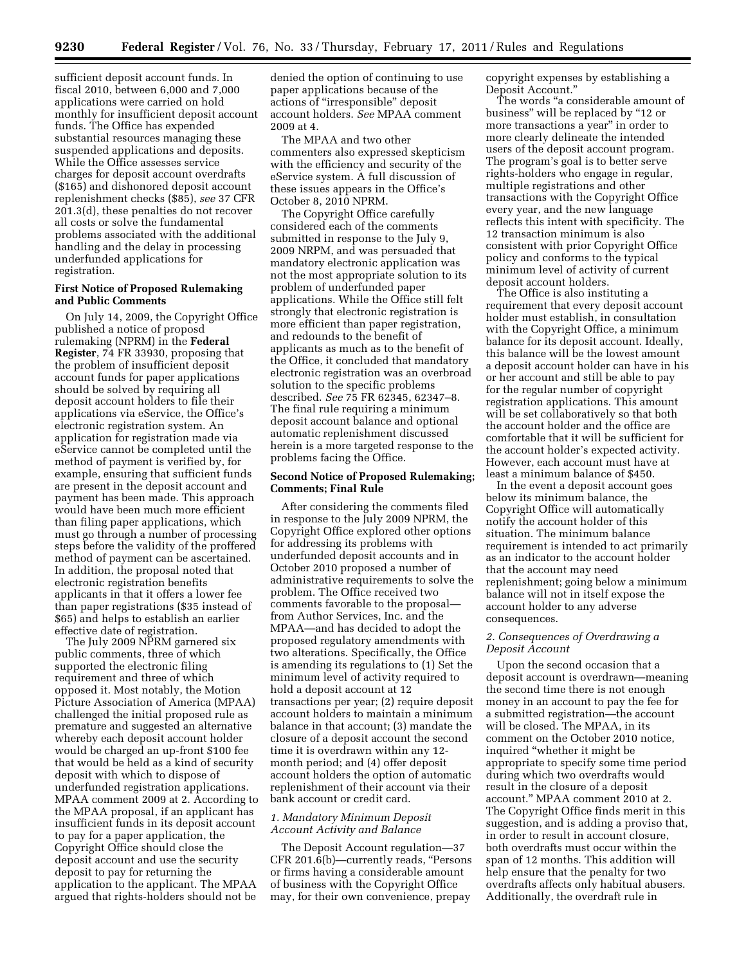sufficient deposit account funds. In fiscal 2010, between 6,000 and 7,000 applications were carried on hold monthly for insufficient deposit account funds. The Office has expended substantial resources managing these suspended applications and deposits. While the Office assesses service charges for deposit account overdrafts (\$165) and dishonored deposit account replenishment checks (\$85), *see* 37 CFR 201.3(d), these penalties do not recover all costs or solve the fundamental problems associated with the additional handling and the delay in processing underfunded applications for registration.

## **First Notice of Proposed Rulemaking and Public Comments**

On July 14, 2009, the Copyright Office published a notice of proposd rulemaking (NPRM) in the **Federal Register**, 74 FR 33930, proposing that the problem of insufficient deposit account funds for paper applications should be solved by requiring all deposit account holders to file their applications via eService, the Office's electronic registration system. An application for registration made via eService cannot be completed until the method of payment is verified by, for example, ensuring that sufficient funds are present in the deposit account and payment has been made. This approach would have been much more efficient than filing paper applications, which must go through a number of processing steps before the validity of the proffered method of payment can be ascertained. In addition, the proposal noted that electronic registration benefits applicants in that it offers a lower fee than paper registrations (\$35 instead of \$65) and helps to establish an earlier effective date of registration.

The July 2009 NPRM garnered six public comments, three of which supported the electronic filing requirement and three of which opposed it. Most notably, the Motion Picture Association of America (MPAA) challenged the initial proposed rule as premature and suggested an alternative whereby each deposit account holder would be charged an up-front \$100 fee that would be held as a kind of security deposit with which to dispose of underfunded registration applications. MPAA comment 2009 at 2. According to the MPAA proposal, if an applicant has insufficient funds in its deposit account to pay for a paper application, the Copyright Office should close the deposit account and use the security deposit to pay for returning the application to the applicant. The MPAA argued that rights-holders should not be

denied the option of continuing to use paper applications because of the actions of ''irresponsible'' deposit account holders. *See* MPAA comment 2009 at 4.

The MPAA and two other commenters also expressed skepticism with the efficiency and security of the eService system. A full discussion of these issues appears in the Office's October 8, 2010 NPRM.

The Copyright Office carefully considered each of the comments submitted in response to the July 9, 2009 NRPM, and was persuaded that mandatory electronic application was not the most appropriate solution to its problem of underfunded paper applications. While the Office still felt strongly that electronic registration is more efficient than paper registration, and redounds to the benefit of applicants as much as to the benefit of the Office, it concluded that mandatory electronic registration was an overbroad solution to the specific problems described. *See* 75 FR 62345, 62347–8. The final rule requiring a minimum deposit account balance and optional automatic replenishment discussed herein is a more targeted response to the problems facing the Office.

## **Second Notice of Proposed Rulemaking; Comments; Final Rule**

After considering the comments filed in response to the July 2009 NPRM, the Copyright Office explored other options for addressing its problems with underfunded deposit accounts and in October 2010 proposed a number of administrative requirements to solve the problem. The Office received two comments favorable to the proposal from Author Services, Inc. and the MPAA—and has decided to adopt the proposed regulatory amendments with two alterations. Specifically, the Office is amending its regulations to (1) Set the minimum level of activity required to hold a deposit account at 12 transactions per year; (2) require deposit account holders to maintain a minimum balance in that account; (3) mandate the closure of a deposit account the second time it is overdrawn within any 12 month period; and (4) offer deposit account holders the option of automatic replenishment of their account via their bank account or credit card.

## *1. Mandatory Minimum Deposit Account Activity and Balance*

The Deposit Account regulation—37 CFR 201.6(b)—currently reads, "Persons or firms having a considerable amount of business with the Copyright Office may, for their own convenience, prepay

copyright expenses by establishing a Deposit Account.''

The words "a considerable amount of business" will be replaced by "12 or more transactions a year'' in order to more clearly delineate the intended users of the deposit account program. The program's goal is to better serve rights-holders who engage in regular, multiple registrations and other transactions with the Copyright Office every year, and the new language reflects this intent with specificity. The 12 transaction minimum is also consistent with prior Copyright Office policy and conforms to the typical minimum level of activity of current deposit account holders.

The Office is also instituting a requirement that every deposit account holder must establish, in consultation with the Copyright Office, a minimum balance for its deposit account. Ideally, this balance will be the lowest amount a deposit account holder can have in his or her account and still be able to pay for the regular number of copyright registration applications. This amount will be set collaboratively so that both the account holder and the office are comfortable that it will be sufficient for the account holder's expected activity. However, each account must have at least a minimum balance of \$450.

In the event a deposit account goes below its minimum balance, the Copyright Office will automatically notify the account holder of this situation. The minimum balance requirement is intended to act primarily as an indicator to the account holder that the account may need replenishment; going below a minimum balance will not in itself expose the account holder to any adverse consequences.

## *2. Consequences of Overdrawing a Deposit Account*

Upon the second occasion that a deposit account is overdrawn—meaning the second time there is not enough money in an account to pay the fee for a submitted registration—the account will be closed. The MPAA, in its comment on the October 2010 notice, inquired ''whether it might be appropriate to specify some time period during which two overdrafts would result in the closure of a deposit account.'' MPAA comment 2010 at 2. The Copyright Office finds merit in this suggestion, and is adding a proviso that, in order to result in account closure, both overdrafts must occur within the span of 12 months. This addition will help ensure that the penalty for two overdrafts affects only habitual abusers. Additionally, the overdraft rule in